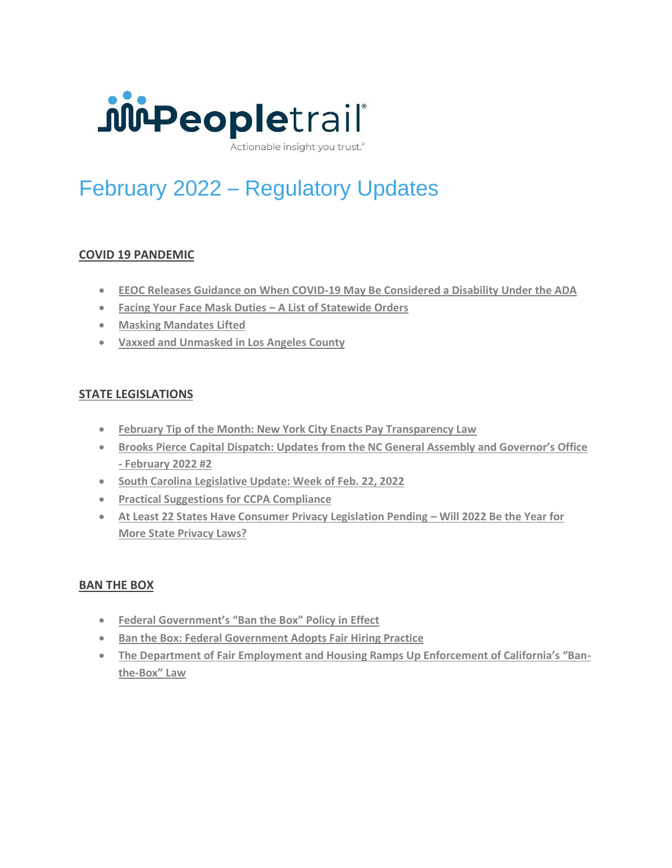

Actionable insight you trust.<sup>®</sup>

# February 2022 – Regulatory Updates

# **COVID 19 PANDEMIC**

- **[EEOC Releases Guidance on When COVID-19 May Be Considered a Disability Under the ADA](https://www.jdsupra.com/legalnews/eeoc-releases-guidance-on-when-covid-19-4496564/?origin=CEG&utm_source=CEG&utm_medium=email&utm_campaign=CustomEmailDigest&utm_term=jds-article&utm_content=article-link)**
- **[Facing Your Face Mask Duties](https://www.jdsupra.com/legalnews/facing-your-face-mask-duties-a-list-of-2010055/?origin=CEG&utm_source=CEG&utm_medium=email&utm_campaign=CustomEmailDigest&utm_term=jds-article&utm_content=article-link) – A List of Statewide Orders**
- **[Masking Mandates Lifted](https://www.jdsupra.com/legalnews/masking-mandates-lifted-2429431/?origin=CEG&utm_source=CEG&utm_medium=email&utm_campaign=CustomEmailDigest&utm_term=jds-article&utm_content=article-link)**
- **[Vaxxed and Unmasked in Los Angeles County](https://www.jdsupra.com/legalnews/vaxxed-and-unmasked-in-los-angeles-4369711/?origin=CEG&utm_source=CEG&utm_medium=email&utm_campaign=CustomEmailDigest&utm_term=jds-article&utm_content=article-link)**

# **STATE LEGISLATIONS**

- **[February Tip of the Month: New York City Enacts Pay Transparency Law](https://www.jdsupra.com/legalnews/february-tip-of-the-month-new-york-city-9142407/?origin=CEG&utm_source=CEG&utm_medium=email&utm_campaign=CustomEmailDigest&utm_term=jds-article&utm_content=article-link)**
- **[Brooks Pierce Capital Dispatch: Updates from the NC General Assembly and Governor's Office](https://www.jdsupra.com/legalnews/brooks-pierce-capital-dispatch-updates-5078065/?origin=CEG&utm_source=CEG&utm_medium=email&utm_campaign=CustomEmailDigest&utm_term=jds-article&utm_content=article-link)  - [February 2022 #2](https://www.jdsupra.com/legalnews/brooks-pierce-capital-dispatch-updates-5078065/?origin=CEG&utm_source=CEG&utm_medium=email&utm_campaign=CustomEmailDigest&utm_term=jds-article&utm_content=article-link)**
- **[South Carolina Legislative Update: Week of Feb. 22, 2022](https://www.jdsupra.com/legalnews/south-carolina-legislative-update-week-4699469/?origin=CEG&utm_source=CEG&utm_medium=email&utm_campaign=CustomEmailDigest&utm_term=jds-article&utm_content=article-link)**
- **[Practical Suggestions for CCPA Compliance](https://www.jdsupra.com/legalnews/practical-suggestions-for-ccpa-8524323/)**
- **•** [At Least 22 States Have Consumer Privacy Legislation Pending](https://www.jdsupra.com/legalnews/at-least-22-states-have-consumer-6620319/)  Will 2022 Be the Year for **[More State Privacy Laws?](https://www.jdsupra.com/legalnews/at-least-22-states-have-consumer-6620319/)**

#### **BAN THE BOX**

- **[Federal Government's "Ban the Box" Policy in Effect](https://www.jdsupra.com/legalnews/federal-government-s-ban-the-box-policy-1578486/)**
- **[Ban the Box: Federal Government Adopts Fair Hiring Practice](https://www.jdsupra.com/legalnews/ban-the-box-federal-government-adopts-8382563/)**
- **[The Department of Fair Employment and Housing Ramps Up Enforcement of California's "Ban](https://www.jdsupra.com/legalnews/the-department-of-fair-employment-and-9790457/)the-[Box" Law](https://www.jdsupra.com/legalnews/the-department-of-fair-employment-and-9790457/)**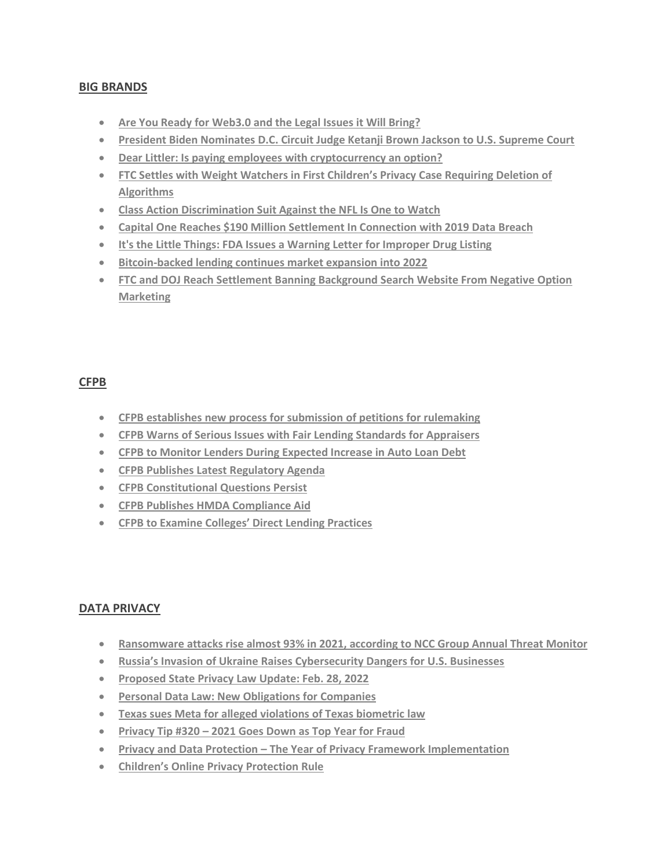### **BIG BRANDS**

- **[Are You Ready for Web3.0 and the Legal Issues it Will Bring?](https://www.jdsupra.com/legalnews/are-you-ready-for-web3-0-and-the-legal-4219124/)**
- **[President Biden Nominates D.C. Circuit Judge Ketanji Brown Jackson to U.S. Supreme Court](https://www.jdsupra.com/legalnews/president-biden-nominates-d-c-circuit-1601357/)**
- **[Dear Littler: Is paying employees with cryptocurrency an option?](https://www.jdsupra.com/legalnews/dear-littler-is-paying-employees-with-6204008/)**
- **[FTC Settles with Weight Watchers in First Children's Privacy Case Requiri](https://www.jdsupra.com/legalnews/ftc-settles-with-weight-watchers-in-4024870/?origin=CEG&utm_source=CEG&utm_medium=email&utm_campaign=CustomEmailDigest&utm_term=jds-article&utm_content=article-link)ng Deletion of [Algorithms](https://www.jdsupra.com/legalnews/ftc-settles-with-weight-watchers-in-4024870/?origin=CEG&utm_source=CEG&utm_medium=email&utm_campaign=CustomEmailDigest&utm_term=jds-article&utm_content=article-link)**
- **[Class Action Discrimination Suit Against the NFL Is One to Watch](https://www.jdsupra.com/legalnews/class-action-discrimination-suit-3431657/)**
- **[Capital One Reaches \\$190 Million Settlement In Connection with 2019 Data Breach](https://www.jdsupra.com/legalnews/capital-one-reaches-190-million-5708035/?origin=CEG&utm_source=CEG&utm_medium=email&utm_campaign=CustomEmailDigest&utm_term=jds-article&utm_content=article-link)**
- **[It's the Little Things: FDA Issues a Warning Letter for Improper Drug Listing](https://www.jdsupra.com/legalnews/it-s-the-little-things-fda-issues-a-5038198/?origin=CEG&utm_source=CEG&utm_medium=email&utm_campaign=CustomEmailDigest&utm_term=jds-article&utm_content=article-link)**
- **[Bitcoin-backed lending continues market expansion into 2022](https://www.jdsupra.com/legalnews/bitcoin-backed-lending-continues-market-9068584/)**
- **[FTC and DOJ Reach Settlement Banning Background Search Website From Negative Option](https://www.jdsupra.com/legalnews/ftc-and-doj-reach-settlement-banning-8374245/?origin=CEG&utm_source=CEG&utm_medium=email&utm_campaign=CustomEmailDigest&utm_term=jds-article&utm_content=article-link)  [Marketing](https://www.jdsupra.com/legalnews/ftc-and-doj-reach-settlement-banning-8374245/?origin=CEG&utm_source=CEG&utm_medium=email&utm_campaign=CustomEmailDigest&utm_term=jds-article&utm_content=article-link)**

#### **CFPB**

- **[CFPB establishes new process for submission](https://www.jdsupra.com/legalnews/cfpb-establishes-new-process-for-6064882/?origin=CEG&utm_source=CEG&utm_medium=email&utm_campaign=CustomEmailDigest&utm_term=jds-article&utm_content=article-link) of petitions for rulemaking**
- **[CFPB Warns of Serious Issues with Fair Lending Standards for Appraisers](https://www.jdsupra.com/legalnews/cfpb-warns-of-serious-issues-with-fair-5426567/?origin=CEG&utm_source=CEG&utm_medium=email&utm_campaign=CustomEmailDigest&utm_term=jds-article&utm_content=article-link)**
- **[CFPB to Monitor Lenders During Expected Increase in Auto Loan Debt](https://www.jdsupra.com/legalnews/cfpb-to-monitor-lenders-during-expected-6855164/?origin=CEG&utm_source=CEG&utm_medium=email&utm_campaign=CustomEmailDigest&utm_term=jds-article&utm_content=article-link)**
- **[CFPB Publishes Latest Regulatory Agenda](https://www.jdsupra.com/legalnews/cfpb-publishes-latest-regulatory-agenda-3159123/)**
- **[CFPB Constitutional Questions Persist](https://www.jdsupra.com/legalnews/cfpb-constitutional-questions-persist-5229652/)**
- **[CFPB Publishes HMDA Compliance Aid](https://www.jdsupra.com/legalnews/cfpb-publishes-hmda-compliance-aid-1352043/)**
- **[CFPB to Examine Colleges' Direct Lending Practices](https://www.jdsupra.com/legalnews/cfpb-to-examine-colleges-direct-lending-7222624/)**

#### **DATA PRIVACY**

- **[Ransomware attacks rise almost 93% in 2021, according to NCC Group Annual Threat Monitor](https://www.jdsupra.com/legalnews/ransomware-attacks-rise-almost-93-in-8714706/?origin=CEG&utm_source=CEG&utm_medium=email&utm_campaign=CustomEmailDigest&utm_term=jds-article&utm_content=article-link)**
- **[Russia's Invasion of Ukraine Raises Cybersecurity Dangers for U.S. Businesses](https://www.jdsupra.com/legalnews/russia-s-invasion-of-ukraine-raises-3566141/)**
- **[Proposed State Privacy Law Update: Feb. 28, 2022](https://www.jdsupra.com/legalnews/proposed-state-privacy-law-update-feb-7045408/?origin=CEG&utm_source=CEG&utm_medium=email&utm_campaign=CustomEmailDigest&utm_term=jds-article&utm_content=article-link)**
- **[Personal Data Law: New Obligations for](https://www.jdsupra.com/legalnews/personal-data-law-new-obligations-for-1742238/?origin=CEG&utm_source=CEG&utm_medium=email&utm_campaign=CustomEmailDigest&utm_term=jds-article&utm_content=article-link) Companies**
- **[Texas sues Meta for alleged violations of Texas biometric law](https://www.jdsupra.com/legalnews/texas-sues-meta-for-alleged-violations-9633435/?origin=CEG&utm_source=CEG&utm_medium=email&utm_campaign=CustomEmailDigest&utm_term=jds-article&utm_content=article-link)**
- **Privacy Tip #320 – [2021 Goes Down as Top Year for Fraud](https://www.jdsupra.com/legalnews/privacy-tip-320-2021-goes-down-as-top-8983098/)**
- **Privacy and Data Protection – [The Year of Privacy Framework Implementation](https://www.jdsupra.com/legalnews/privacy-and-data-protection-the-year-of-5467714/?origin=CEG&utm_source=CEG&utm_medium=email&utm_campaign=CustomEmailDigest&utm_term=jds-article&utm_content=article-link)**
- **[Children's Online Privacy Protection Rule](https://www.jdsupra.com/legalnews/children-s-online-privacy-protection-1119045/?origin=CEG&utm_source=CEG&utm_medium=email&utm_campaign=CustomEmailDigest&utm_term=jds-article&utm_content=article-link)**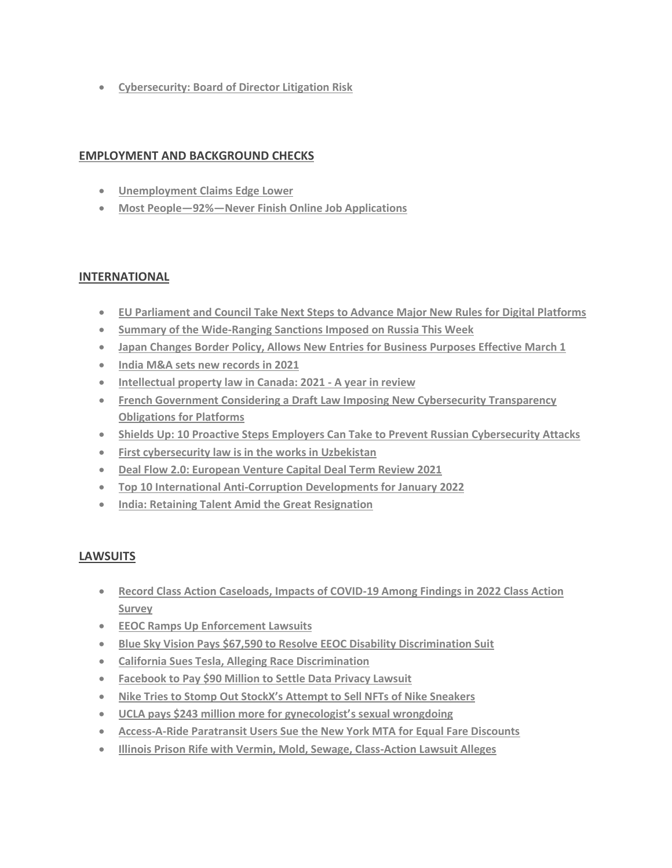• **[Cybersecurity: Board of Director Litigation Risk](https://www.jdsupra.com/legalnews/cybersecurity-board-of-director-4722584/)**

### **EMPLOYMENT AND BACKGROUND CHECKS**

- **[Unemployment Claims Edge Lower](https://www.shrm.org/ResourcesAndTools/hr-topics/talent-acquisition/Pages/Jobless-Claims-Feb-24-COVID19-Coronavirus-Unemployment.aspx?utm_source=marketo&utm_medium=email&utm_campaign=editorial~HR%20Daily~NL_2022-02-24_Breaking_News-JoblessClaims&linktext=Jobless-Claims-Edge-Lower&mktoid=105113749&mkt_tok=ODIzLVRXUy05ODQAAAGCy0H00WfgVUyCOZNEkk4RhlB_touMvLrSGtP4r_GXUhEst4IViH5tUDo9Oq5OIt9c86gfdFZahJ6YEeFbvAgAPy9dKHQEvl7aEXDLiV4MwWyABrI)**
- **Most People—92%—[Never Finish Online Job Applications](https://www.shrm.org/ResourcesAndTools/hr-topics/talent-acquisition/Pages/Most-People-Never-Finish-Online-Job-Applications.aspx?linktext=Most-People92Never-Finish-Online-Job-Applications&linktext=Why-Most-People-Never-Finish-Online-Job-Applications&mktoid=105113749&utm_source=marketo&utm_medium=email&utm_campaign=editorial~HR%20Technology~NL_2022-02-22_HR-Technology&mkt_tok=ODIzLVRXUy05ODQAAAGCwZuvlT1fNPwXzEIUk6CMkDmrsPmhOga6Hy_qmKnShSSr1GP7ebN8ap_Z2Rbqf8lXbX7m-vIPgOcOflOR93OLdw-CoVGQMjDjvLkugtU9-FvDZP8)**

# **INTERNATIONAL**

- **[EU Parliament and Council Take Next Steps to Advance Major New Rules for Digital Platforms](https://www.jdsupra.com/legalnews/eu-parliament-and-council-take-next-8045303/?origin=CEG&utm_source=CEG&utm_medium=email&utm_campaign=CustomEmailDigest&utm_term=jds-article&utm_content=article-link)**
- **[Summary of the Wide-Ranging Sanctions Imposed on Russia This Week](https://www.jdsupra.com/legalnews/summary-of-the-wide-ranging-sanctions-2045914/?origin=CEG&utm_source=CEG&utm_medium=email&utm_campaign=CustomEmailDigest&utm_term=jds-article&utm_content=article-link)**
- **[Japan Changes Border Policy, Allows New Entries for Business Purposes Effective March 1](https://www.jdsupra.com/legalnews/japan-changes-border-policy-allows-new-7956989/?origin=CEG&utm_source=CEG&utm_medium=email&utm_campaign=CustomEmailDigest&utm_term=jds-article&utm_content=article-link)**
- **[India M&A sets new records in 2021](https://www.jdsupra.com/legalnews/india-m-a-sets-new-records-in-2021-6338882/)**
- **[Intellectual property law in Canada: 2021 -](https://www.jdsupra.com/legalnews/intellectual-property-law-in-canada-5424321/) A year in review**
- **[French Government Considering a Draft Law Imposing New Cybersecurity Transparency](https://www.jdsupra.com/legalnews/french-government-considering-a-draft-9441779/?origin=CEG&utm_source=CEG&utm_medium=email&utm_campaign=CustomEmailDigest&utm_term=jds-article&utm_content=article-link)  [Obligations for Platforms](https://www.jdsupra.com/legalnews/french-government-considering-a-draft-9441779/?origin=CEG&utm_source=CEG&utm_medium=email&utm_campaign=CustomEmailDigest&utm_term=jds-article&utm_content=article-link)**
- **[Shields Up: 10 Proactive Steps Employers Can Take to Prevent Russian Cybersecurity Attacks](https://www.jdsupra.com/legalnews/shields-up-10-proactive-steps-employers-6762549/?origin=CEG&utm_source=CEG&utm_medium=email&utm_campaign=CustomEmailDigest&utm_term=jds-article&utm_content=article-link)**
- **[First cybersecurity law is in the works in Uzbekistan](https://www.jdsupra.com/legalnews/first-cybersecurity-law-is-in-the-works-8965454/)**
- **[Deal Flow 2.0: European Venture Capital Deal Term Review 2021](https://www.jdsupra.com/legalnews/deal-flow-2-0-european-venture-capital-1667166/)**
- **[Top 10 International Anti-Corruption Developments for January 2022](https://www.jdsupra.com/legalnews/top-10-international-anti-corruption-2417026/)**
- **[India: Retaining Talent Amid the Great Resignation](https://www.shrm.org/ResourcesAndTools/hr-topics/global-hr/Pages/India-Great-Resignation.aspx?utm_source=marketo&utm_medium=email&utm_campaign=editorial~Global%20HR~NL_2022-02-21_Global-HR&linktext=India-Retaining-Talent-Amid-the-Great-Resignation&mktoid=105113749&mkt_tok=ODIzLVRXUy05ODQAAAGCvpEz3r6xsQYbtYuldNtzrY7R-j6-93f6LjLCS5MToexon1AbXsRrqHNMMeQBRcuCX4Efelrb1vC9HxdCvL28-Ax-t5BQrlb56dFeT2jvKaqsFUw)**

# **LAWSUITS**

- **[Record Class Action Caseloads, Impacts of COVID-19 Among Findings in 2022 Class Action](https://www.jdsupra.com/legalnews/record-class-action-caseloads-impacts-9489006/?origin=CEG&utm_source=CEG&utm_medium=email&utm_campaign=CustomEmailDigest&utm_term=jds-article&utm_content=article-link)  [Survey](https://www.jdsupra.com/legalnews/record-class-action-caseloads-impacts-9489006/?origin=CEG&utm_source=CEG&utm_medium=email&utm_campaign=CustomEmailDigest&utm_term=jds-article&utm_content=article-link)**
- **[EEOC Ramps Up Enforcement Lawsuits](https://www.jdsupra.com/legalnews/eeoc-ramps-up-enforcement-lawsuits-8360621/)**
- **Blue Sky Vision Pays [\\$67,590 to Resolve EEOC Disability Discrimination Suit](https://www.jdsupra.com/legalnews/blue-sky-vision-pays-67-590-to-resolve-1082201/?origin=CEG&utm_source=CEG&utm_medium=email&utm_campaign=CustomEmailDigest&utm_term=jds-article&utm_content=article-link)**
- **[California Sues Tesla, Alleging Race Discrimination](https://www.shrm.org/ResourcesAndTools/legal-and-compliance/state-and-local-updates/Pages/California-sues-Tesla.aspx?utm_source=marketo&utm_medium=email&utm_campaign=editorial~California%20HR~NL_2022-02-22_California-HR&linktext=State-Sues-Tesla-Alleging-Race-Discrimination&mktoid=105113749&mkt_tok=ODIzLVRXUy05ODQAAAGCw7boYg1jR5P1-OcE0IJuIOaLrRPxiobpmWZ0J9niUNv1_3A6dYLYG0EAViiZrlcJ9UguXTzZNPtfHO4F0LsOdDDfaotpbqm7nEH5qjronkvZtLk)**
- **[Facebook to Pay \\$90 Million to Settle Data Privacy Lawsuit](https://www.jdsupra.com/legalnews/facebook-to-pay-90-million-to-settle-2898227/)**
- **Nike Tries t[o Stomp Out StockX's Attempt to Sell NFTs of Nike Sneakers](https://www.jdsupra.com/legalnews/nike-tries-to-stomp-out-stockx-s-8583212/)**
- **[UCLA pays \\$243 million more for gynecologist'](https://www.jdsupra.com/legalnews/ucla-pays-243-million-more-for-9989921/?origin=CEG&utm_source=CEG&utm_medium=email&utm_campaign=CustomEmailDigest&utm_term=jds-article&utm_content=article-link)s sexual wrongdoing**
- **Access-A-Ride [Paratransit Users Sue the New York MTA for Equal Fare Discounts](https://www.jdsupra.com/legalnews/access-a-ride-paratransit-users-sue-the-9757544/?origin=CEG&utm_source=CEG&utm_medium=email&utm_campaign=CustomEmailDigest&utm_term=jds-article&utm_content=article-link)**
- **[Illinois Prison Rife with Vermin, Mold, Sewage, Class-Action Lawsuit Alleges](https://www.jdsupra.com/legalnews/illinois-prison-rife-with-vermin-mold-7992844/?origin=CEG&utm_source=CEG&utm_medium=email&utm_campaign=CustomEmailDigest&utm_term=jds-article&utm_content=article-link)**